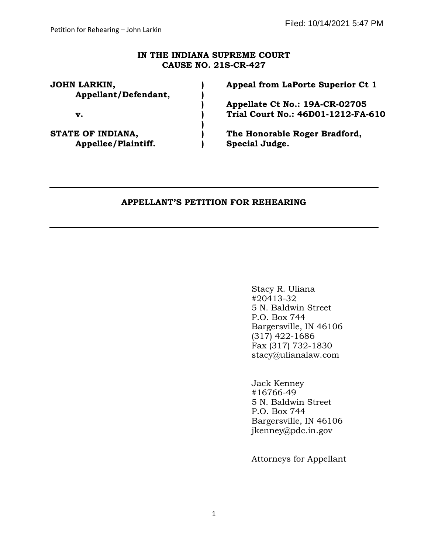### **IN THE INDIANA SUPREME COURT CAUSE NO. 21S-CR-427**

| JOHN LARKIN,<br>Appellant/Defendant, | Appeal from LaPorte Superior Ct 1  |
|--------------------------------------|------------------------------------|
|                                      | Appellate Ct No.: 19A-CR-02705     |
| v.                                   | Trial Court No.: 46D01-1212-FA-610 |
| <b>STATE OF INDIANA,</b>             | The Honorable Roger Bradford,      |
| Appellee/Plaintiff.                  | Special Judge.                     |

### **APPELLANT'S PETITION FOR REHEARING**

Stacy R. Uliana #20413-32 5 N. Baldwin Street P.O. Box 744 Bargersville, IN 46106 (317) 422-1686 Fax (317) 732-1830 stacy@ulianalaw.com

Jack Kenney #16766-49 5 N. Baldwin Street P.O. Box 744 Bargersville, IN 46106 [jkenney@pdc.in.gov](mailto:jkenney@pdc.in.gov)

Attorneys for Appellant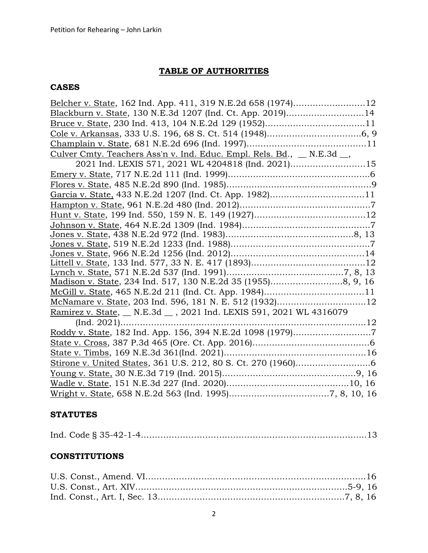## **TABLE OF AUTHORITIES**

## **CASES**

| Blackburn v. State, 130 N.E.3d 1207 (Ind. Ct. App. 2019)14              |
|-------------------------------------------------------------------------|
|                                                                         |
|                                                                         |
|                                                                         |
| Culver Cmty. Teachers Ass'n v. Ind. Educ. Empl. Rels. Bd., _ N.E.3d _,  |
| 2021 Ind. LEXIS 571, 2021 WL 4204818 (Ind. 2021)15                      |
|                                                                         |
|                                                                         |
| Garcia v. State, 433 N.E.2d 1207 (Ind. Ct. App. 1982)11                 |
|                                                                         |
|                                                                         |
|                                                                         |
|                                                                         |
|                                                                         |
|                                                                         |
|                                                                         |
|                                                                         |
| Madison v. State, 234 Ind. 517, 130 N.E.2d 35 (1955)8, 9, 16            |
| McGill v. State, 465 N.E.2d 211 (Ind. Ct. App. 1984)11                  |
| McNamare v. State, 203 Ind. 596, 181 N. E. 512 (1932)12                 |
| <u>Ramirez v. State, N.E.3d _, 2021</u> Ind. LEXIS 591, 2021 WL 4316079 |
|                                                                         |
|                                                                         |
|                                                                         |
|                                                                         |
|                                                                         |
|                                                                         |
|                                                                         |
|                                                                         |

### **STATUTES**

## **CONSTITUTIONS**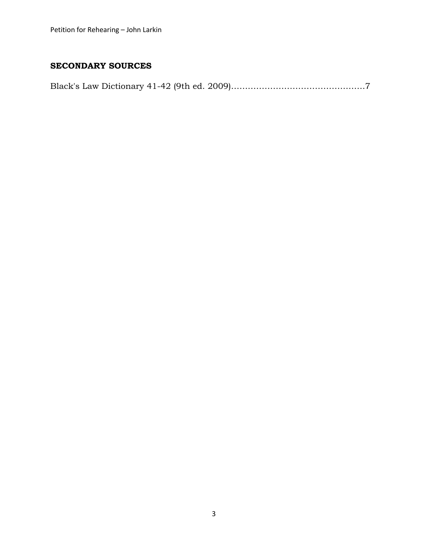### **SECONDARY SOURCES**

Black's Law Dictionary 41-42 (9th ed. 2009)…………………………………………7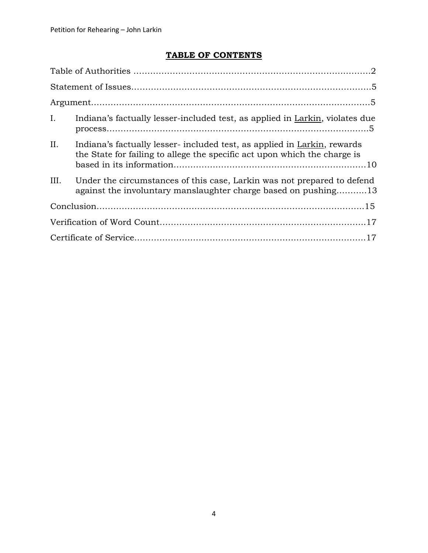# **TABLE OF CONTENTS**

| $I_{\cdot}$ | Indiana's factually lesser-included test, as applied in Larkin, violates due                                                                         |
|-------------|------------------------------------------------------------------------------------------------------------------------------------------------------|
| II.         | Indiana's factually lesser-included test, as applied in Larkin, rewards<br>the State for failing to allege the specific act upon which the charge is |
| III.        | Under the circumstances of this case, Larkin was not prepared to defend<br>against the involuntary manslaughter charge based on pushing13            |
|             |                                                                                                                                                      |
|             |                                                                                                                                                      |
|             |                                                                                                                                                      |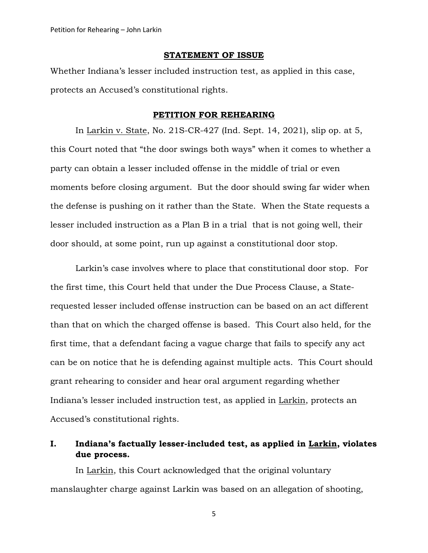### **STATEMENT OF ISSUE**

Whether Indiana's lesser included instruction test, as applied in this case, protects an Accused's constitutional rights.

### **PETITION FOR REHEARING**

In Larkin v. State, No. 21S-CR-427 (Ind. Sept. 14, 2021), slip op. at 5, this Court noted that "the door swings both ways" when it comes to whether a party can obtain a lesser included offense in the middle of trial or even moments before closing argument. But the door should swing far wider when the defense is pushing on it rather than the State. When the State requests a lesser included instruction as a Plan B in a trial that is not going well, their door should, at some point, run up against a constitutional door stop.

Larkin's case involves where to place that constitutional door stop. For the first time, this Court held that under the Due Process Clause, a Staterequested lesser included offense instruction can be based on an act different than that on which the charged offense is based. This Court also held, for the first time, that a defendant facing a vague charge that fails to specify any act can be on notice that he is defending against multiple acts. This Court should grant rehearing to consider and hear oral argument regarding whether Indiana's lesser included instruction test, as applied in Larkin, protects an Accused's constitutional rights.

### **I. Indiana's factually lesser-included test, as applied in Larkin, violates due process.**

In Larkin, this Court acknowledged that the original voluntary manslaughter charge against Larkin was based on an allegation of shooting,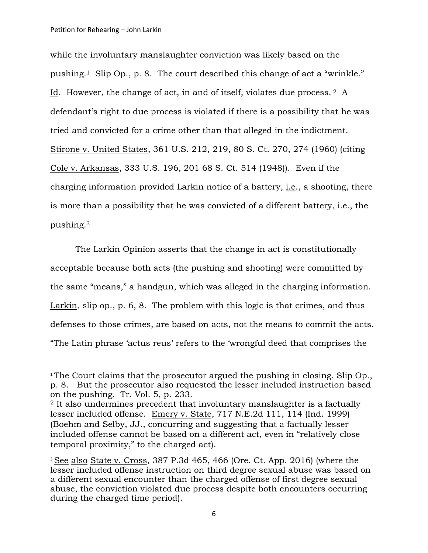while the involuntary manslaughter conviction was likely based on the pushing.1 Slip Op., p. 8. The court described this change of act a "wrinkle." Id. However, the change of act, in and of itself, violates due process. <sup>2</sup> A defendant's right to due process is violated if there is a possibility that he was tried and convicted for a crime other than that alleged in the indictment. Stirone v. United States, 361 U.S. 212, 219, 80 S. Ct. 270, 274 (1960) (citing Cole v. Arkansas, 333 U.S. 196, 201 68 S. Ct. 514 (1948)). Even if the charging information provided Larkin notice of a battery, i.e., a shooting, there is more than a possibility that he was convicted of a different battery, i.e., the pushing. 3

The Larkin Opinion asserts that the change in act is constitutionally acceptable because both acts (the pushing and shooting) were committed by the same "means," a handgun, which was alleged in the charging information. Larkin, slip op., p. 6, 8. The problem with this logic is that crimes, and thus defenses to those crimes, are based on acts, not the means to commit the acts. "The Latin phrase 'actus reus' refers to the 'wrongful deed that comprises the

<sup>&</sup>lt;sup>1</sup> The Court claims that the prosecutor argued the pushing in closing. Slip Op., p. 8. But the prosecutor also requested the lesser included instruction based on the pushing. Tr. Vol. 5, p. 233.

<sup>2</sup> It also undermines precedent that involuntary manslaughter is a factually lesser included offense. Emery v. State, 717 N.E.2d 111, 114 (Ind. 1999) (Boehm and Selby, JJ., concurring and suggesting that a factually lesser included offense cannot be based on a different act, even in "relatively close temporal proximity," to the charged act).

<sup>&</sup>lt;sup>3</sup> See also State v. Cross, 387 P.3d 465, 466 (Ore. Ct. App. 2016) [\(where](https://advance.lexis.com/api/document/collection/cases/id/5MD0-78T1-F04J-J03N-00000-00?page=912&reporter=3373&cite=282%20Ore.%20App.%20910&context=1000516) the lesser included offense [instruction](https://advance.lexis.com/api/document/collection/cases/id/5MD0-78T1-F04J-J03N-00000-00?page=912&reporter=3373&cite=282%20Ore.%20App.%20910&context=1000516) on third degree sexual abuse was based on a different sexual [encounter](https://advance.lexis.com/api/document/collection/cases/id/5MD0-78T1-F04J-J03N-00000-00?page=912&reporter=3373&cite=282%20Ore.%20App.%20910&context=1000516) than the charged offense of first degree sexual abuse, the conviction violated due process despite both [encounters](https://advance.lexis.com/api/document/collection/cases/id/5MD0-78T1-F04J-J03N-00000-00?page=912&reporter=3373&cite=282%20Ore.%20App.%20910&context=1000516) occurring during the charged time [period\).](https://advance.lexis.com/api/document/collection/cases/id/5MD0-78T1-F04J-J03N-00000-00?page=912&reporter=3373&cite=282%20Ore.%20App.%20910&context=1000516)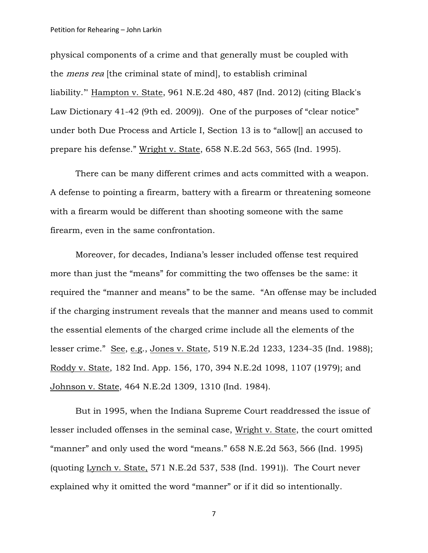#### Petition for Rehearing – John Larkin

physical components of a crime and that generally must be coupled with the *mens rea* [the criminal state of mind], to establish criminal liability.'" [Hampton](https://advance.lexis.com/api/document/collection/cases/id/54YK-T6T1-F04G-604Y-00000-00?page=487&reporter=4912&cite=961%20N.E.2d%20480&context=1000516) v. State, 961 N.E.2d 480, 487 (Ind. 2012) (citing Black's Law Dictionary 41-42 (9th ed. 2009)). One of the purposes of "clear notice" under both Due Process and Article I, Section 13 is to "allow[] an accused to prepare his defense." Wright v. State, 658 N.E.2d 563, 565 (Ind. 1995).

There can be many different crimes and acts committed with a weapon. A defense to pointing a firearm, battery with a firearm or threatening someone with a firearm would be different than shooting someone with the same firearm, even in the same confrontation.

Moreover, for decades, Indiana's lesser included offense test required more than just the "means" for committing the two offenses be the same: it required the "manner and means" to be the same. "An offense may be included if the charging instrument reveals that the manner and means used to commit the essential elements of the charged crime include all the elements of the lesser crime." See, e.g., Jones v. State, 519 N.E.2d 1233, 1234-35 (Ind. 1988); Roddy v. State, 182 Ind. App. 156, 170, 394 N.E.2d 1098, 1107 (1979); and Johnson v. State, 464 N.E.2d 1309, 1310 (Ind. 1984).

But in 1995, when the Indiana Supreme Court readdressed the issue of lesser included offenses in the seminal case, Wright v. State, the court omitted "manner" and only used the word "means." 658 N.E.2d 563, 566 (Ind. 1995) (quoting Lynch v. State, 571 N.E.2d 537, 538 (Ind. 1991)). The Court never explained why it omitted the word "manner" or if it did so intentionally.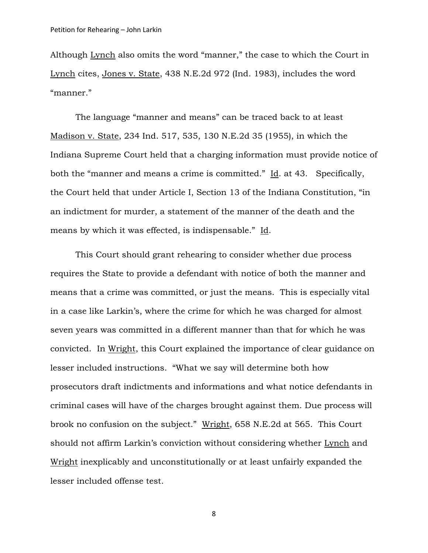Although Lynch also omits the word "manner," the case to which the Court in Lynch cites, Jones v. State, 438 N.E.2d 972 (Ind. 1983), includes the word "manner."

The language "manner and means" can be traced back to at least Madison v. State, 234 Ind. 517, 535, 130 N.E.2d 35 (1955), in which the Indiana Supreme Court held that a charging information must provide notice of both the "manner and means a crime is committed." Id. at 43. Specifically, the Court held that under Article I, Section 13 of the Indiana Constitution, "in an indictment for murder, a statement of the manner of the death and the means by which it was effected, is indispensable." Id.

This Court should grant rehearing to consider whether due process requires the State to provide a defendant with notice of both the manner and means that a crime was committed, or just the means. This is especially vital in a case like Larkin's, where the crime for which he was charged for almost seven years was committed in a different manner than that for which he was convicted. In Wright, this Court explained the importance of clear guidance on lesser included instructions. "What we say will determine both how prosecutors draft indictments and informations and what notice defendants in criminal cases will have of the charges brought against them. Due process will brook no confusion on the subject." Wright, 658 N.E.2d at 565. This Court should not affirm Larkin's conviction without considering whether Lynch and Wright inexplicably and unconstitutionally or at least unfairly expanded the lesser included offense test.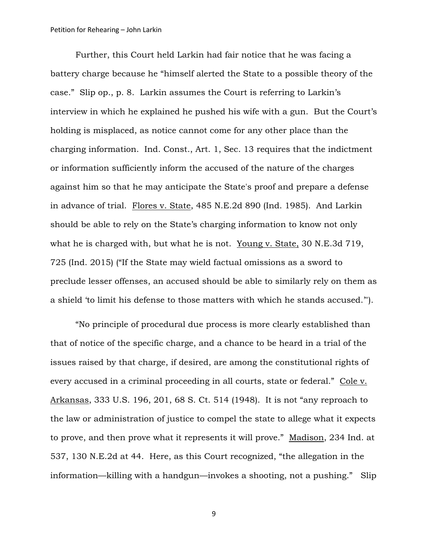#### Petition for Rehearing – John Larkin

Further, this Court held Larkin had fair notice that he was facing a battery charge because he "himself alerted the State to a possible theory of the case." Slip op., p. 8. Larkin assumes the Court is referring to Larkin's interview in which he explained he pushed his wife with a gun. But the Court's holding is misplaced, as notice cannot come for any other place than the charging information. Ind. Const., Art. 1, Sec. 13 requires that the indictment or information sufficiently inform the accused of the nature of the charges against him so that he may anticipate the State's proof and prepare a defense in advance of trial. Flores v. State, 485 N.E.2d 890 (Ind. 1985). And Larkin should be able to rely on the State's charging information to know not only what he is charged with, but what he is not. Young v. State, 30 N.E.3d 719, 725 (Ind. 2015) ("If the State may wield factual omissions as a sword to preclude lesser offenses, an accused should be able to similarly rely on them as a shield 'to limit his defense to those matters with which he stands accused.'").

"No principle of procedural due process is more clearly established than that of notice of the specific charge, and a chance to be heard in a trial of the issues raised by that charge, if desired, are among the constitutional rights of every accused in a criminal proceeding in all courts, state or federal." Cole v. Arkansas, 333 U.S. 196, 201, 68 S. Ct. 514 (1948). It is not "any reproach to the law or administration of justice to compel the state to allege what it expects to prove, and then prove what it represents it will prove." Madison, 234 Ind. at 537, 130 N.E.2d at 44. Here, as this Court recognized, "the allegation in the information—killing with a handgun—invokes a shooting, not a pushing." Slip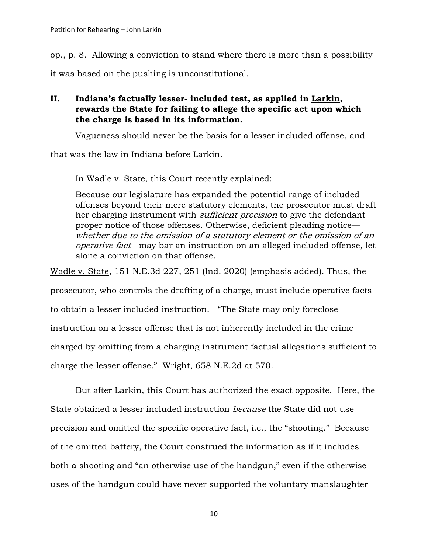op., p. 8. Allowing a conviction to stand where there is more than a possibility

it was based on the pushing is unconstitutional.

## **II. Indiana's factually lesser- included test, as applied in Larkin, rewards the State for failing to allege the specific act upon which the charge is based in its information.**

Vagueness should never be the basis for a lesser included offense, and

that was the law in Indiana before Larkin.

In Wadle v. State, this Court recently explained:

Because our legislature has expanded the potential range of included offenses beyond their mere statutory elements, the prosecutor must draft her charging instrument with *sufficient precision* to give the defendant proper notice of those offenses. Otherwise, deficient pleading notice whether due to the omission of a statutory element or the omission of an operative fact—may bar an instruction on an alleged included offense, let alone a conviction on that offense.

Wadle v. State, 151 N.E.3d 227, 251 (Ind. 2020) (emphasis added). Thus, the prosecutor, who controls the drafting of a charge, must include operative facts to obtain a lesser included instruction. "The State may only foreclose instruction on a lesser offense that is not inherently included in the crime charged by omitting from a charging instrument factual allegations sufficient to charge the lesser offense." Wright, 658 N.E.2d at 570.

But after Larkin, this Court has authorized the exact opposite. Here, the State obtained a lesser included instruction because the State did not use precision and omitted the specific operative fact, i.e., the "shooting." Because of the omitted battery, the Court construed the information as if it includes both a shooting and "an otherwise use of the handgun," even if the otherwise uses of the handgun could have never supported the voluntary manslaughter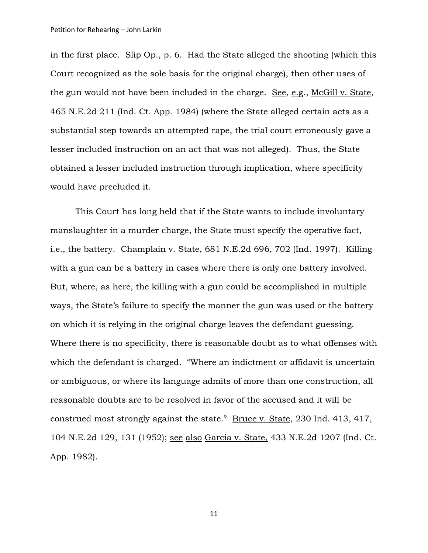in the first place. Slip Op., p. 6. Had the State alleged the shooting (which this Court recognized as the sole basis for the original charge), then other uses of the gun would not have been included in the charge. See, e.g., McGill v. State, 465 N.E.2d 211 (Ind. Ct. App. 1984) (where the State alleged certain acts as a substantial step towards an attempted rape, the trial court erroneously gave a lesser included instruction on an act that was not alleged). Thus, the State obtained a lesser included instruction through implication, where specificity would have precluded it.

This Court has long held that if the State wants to include involuntary manslaughter in a murder charge, the State must specify the operative fact, i.e., the battery. Champlain v. State, 681 N.E.2d 696, 702 (Ind. 1997). Killing with a gun can be a battery in cases where there is only one battery involved. But, where, as here, the killing with a gun could be accomplished in multiple ways, the State's failure to specify the manner the gun was used or the battery on which it is relying in the original charge leaves the defendant guessing. Where there is no specificity, there is reasonable doubt as to what offenses with which the defendant is charged. "Where an indictment or affidavit is uncertain or ambiguous, or where its language admits of more than one construction, all reasonable doubts are to be resolved in favor of the accused and it will be construed most strongly against the state." [Bruce](https://advance.lexis.com/api/document/collection/cases/id/3RRM-XF40-003F-M23W-00000-00?page=417&reporter=3140&cite=230%20Ind.%20413&context=1000516) v. State, 230 Ind. 413, 417, 104 [N.E.2d](https://advance.lexis.com/api/document/collection/cases/id/3RRM-XF40-003F-M23W-00000-00?page=417&reporter=3140&cite=230%20Ind.%20413&context=1000516) 129, 131 (1952); see also Garcia v. State, 433 N.E.2d 1207 (Ind. Ct. App. 1982).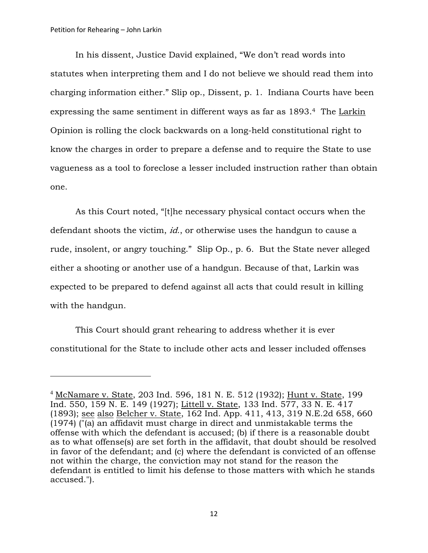In his dissent, Justice David explained, "We don't read words into statutes when interpreting them and I do not believe we should read them into charging information either." Slip op., Dissent, p. 1. Indiana Courts have been expressing the same sentiment in different ways as far as 1893.<sup>4</sup> The Larkin Opinion is rolling the clock backwards on a long-held constitutional right to know the charges in order to prepare a defense and to require the State to use vagueness as a tool to foreclose a lesser included instruction rather than obtain one.

As this Court noted, "[t]he necessary physical contact occurs when the defendant shoots the victim, *id.*, or otherwise uses the handgun to cause a rude, insolent, or angry touching." Slip Op., p. 6. But the State never alleged either a shooting or another use of a handgun. Because of that, Larkin was expected to be prepared to defend against all acts that could result in killing with the handgun.

This Court should grant rehearing to address whether it is ever constitutional for the State to include other acts and lesser included offenses

<sup>4</sup> McNamare v. State, 203 Ind. 596, 181 N. E. 512 (1932); Hunt v. State, 199 Ind. 550, 159 N. E. 149 (1927); Littell v. State, 133 Ind. 577, 33 N. E. 417 (1893); see also Belcher v. State, 162 Ind. App. 411, 413, 319 N.E.2d 658, 660 (1974) ("(a) an affidavit must charge in direct and unmistakable terms the offense with which the defendant is accused; (b) if there is a reasonable doubt as to what offense(s) are set forth in the affidavit, that doubt should be resolved in favor of the defendant; and (c) where the defendant is convicted of an offense not within the charge, the conviction may not stand for the reason the defendant is entitled to limit his defense to those matters with which he stands accused.").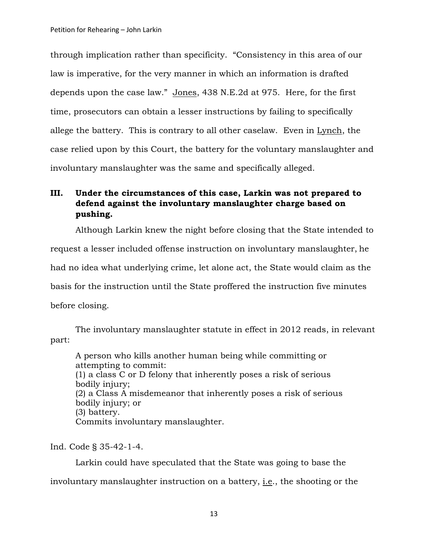through implication rather than specificity. "Consistency in this area of our law is imperative, for the very manner in which an information is drafted depends upon the case law." Jones, 438 N.E.2d at 975. Here, for the first time, prosecutors can obtain a lesser instructions by failing to specifically allege the battery. This is contrary to all other caselaw. Even in Lynch, the case relied upon by this Court, the battery for the voluntary manslaughter and involuntary manslaughter was the same and specifically alleged.

## **III. Under the circumstances of this case, Larkin was not prepared to defend against the involuntary manslaughter charge based on pushing.**

Although Larkin knew the night before closing that the State intended to request a lesser included offense instruction on involuntary manslaughter, he had no idea what underlying crime, let alone act, the State would claim as the basis for the instruction until the State proffered the instruction five minutes before closing.

The involuntary manslaughter statute in effect in 2012 reads, in relevant part:

A person who kills another human being while committing or attempting to commit: (1) a class C or D felony that inherently poses a risk of serious bodily injury; (2) a Class A misdemeanor that inherently poses a risk of serious bodily injury; or (3) battery. Commits involuntary manslaughter.

Ind. Code § 35-42-1-4.

 Larkin could have speculated that the State was going to base the involuntary manslaughter instruction on a battery, i.e., the shooting or the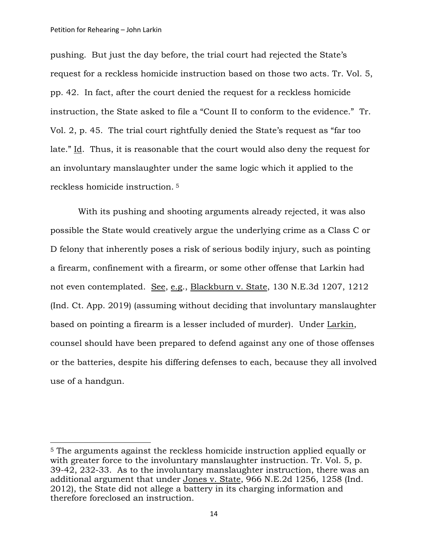pushing. But just the day before, the trial court had rejected the State's request for a reckless homicide instruction based on those two acts. Tr. Vol. 5, pp. 42. In fact, after the court denied the request for a reckless homicide instruction, the State asked to file a "Count II to conform to the evidence." Tr. Vol. 2, p. 45. The trial court rightfully denied the State's request as "far too late." Id. Thus, it is reasonable that the court would also deny the request for an involuntary manslaughter under the same logic which it applied to the reckless homicide instruction. <sup>5</sup>

With its pushing and shooting arguments already rejected, it was also possible the State would creatively argue the underlying crime as a Class C or D felony that inherently poses a risk of serious bodily injury, such as pointing a firearm, confinement with a firearm, or some other offense that Larkin had not even contemplated. See, e.g., Blackburn v. State, 130 N.E.3d 1207, 1212 (Ind. Ct. App. 2019) (assuming without deciding that involuntary manslaughter based on pointing a firearm is a lesser included of murder). Under Larkin, counsel should have been prepared to defend against any one of those offenses or the batteries, despite his differing defenses to each, because they all involved use of a handgun.

<sup>5</sup> The arguments against the reckless homicide instruction applied equally or with greater force to the involuntary manslaughter instruction. Tr. Vol. 5, p. 39-42, 232-33. As to the involuntary manslaughter instruction, there was an additional argument that under Jones v. State, 966 N.E.2d 1256, 1258 (Ind. 2012), the State did not allege a battery in its charging information and therefore foreclosed an instruction.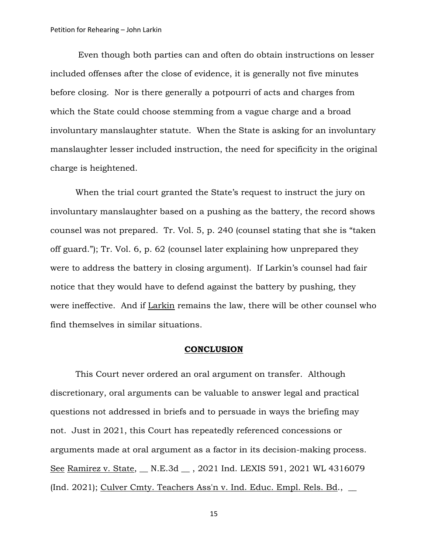Even though both parties can and often do obtain instructions on lesser included offenses after the close of evidence, it is generally not five minutes before closing. Nor is there generally a potpourri of acts and charges from which the State could choose stemming from a vague charge and a broad involuntary manslaughter statute. When the State is asking for an involuntary manslaughter lesser included instruction, the need for specificity in the original charge is heightened.

When the trial court granted the State's request to instruct the jury on involuntary manslaughter based on a pushing as the battery, the record shows counsel was not prepared. Tr. Vol. 5, p. 240 (counsel stating that she is "taken off guard."); Tr. Vol. 6, p. 62 (counsel later explaining how unprepared they were to address the battery in closing argument). If Larkin's counsel had fair notice that they would have to defend against the battery by pushing, they were ineffective. And if Larkin remains the law, there will be other counsel who find themselves in similar situations.

#### **CONCLUSION**

This Court never ordered an oral argument on transfer. Although discretionary, oral arguments can be valuable to answer legal and practical questions not addressed in briefs and to persuade in ways the briefing may not. Just in 2021, this Court has repeatedly referenced concessions or arguments made at oral argument as a factor in its decision-making process. See Ramirez v. State, \_ N.E.3d \_ , 2021 Ind. LEXIS 591, 2021 WL 4316079 (Ind. 2021); Culver Cmty. Teachers Ass'n v. Ind. Educ. Empl. Rels. Bd.,  $\qquad$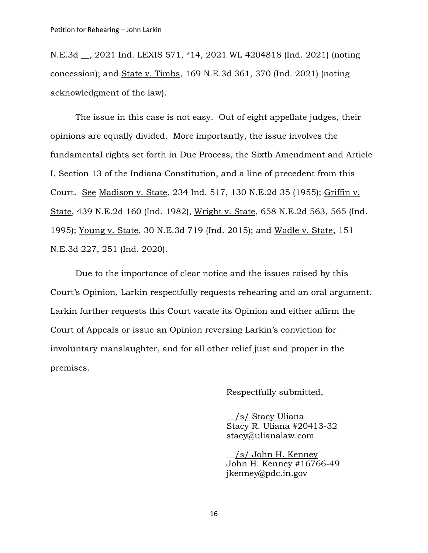N.E.3d \_\_, 2021 Ind. LEXIS 571, \*14, 2021 WL 4204818 (Ind. 2021) (noting concession); and State v. Timbs, 169 N.E.3d 361, 370 (Ind. 2021) (noting acknowledgment of the law).

The issue in this case is not easy. Out of eight appellate judges, their opinions are equally divided. More importantly, the issue involves the fundamental rights set forth in Due Process, the Sixth Amendment and Article I, Section 13 of the Indiana Constitution, and a line of precedent from this Court. See Madison v. State, 234 Ind. 517, 130 N.E.2d 35 (1955); Griffin v. State, 439 N.E.2d 160 (Ind. 1982), Wright v. State, 658 N.E.2d 563, 565 (Ind. 1995); Young v. State, 30 N.E.3d 719 (Ind. 2015); and Wadle v. State, 151 N.E.3d 227, 251 (Ind. 2020).

Due to the importance of clear notice and the issues raised by this Court's Opinion, Larkin respectfully requests rehearing and an oral argument. Larkin further requests this Court vacate its Opinion and either affirm the Court of Appeals or issue an Opinion reversing Larkin's conviction for involuntary manslaughter, and for all other relief just and proper in the premises.

Respectfully submitted,

\_\_/s/ Stacy Uliana Stacy R. Uliana #20413-32 stacy@ulianalaw.com

\_\_/s/ John H. Kenney John H. Kenney #16766-49 jkenney@pdc.in.gov